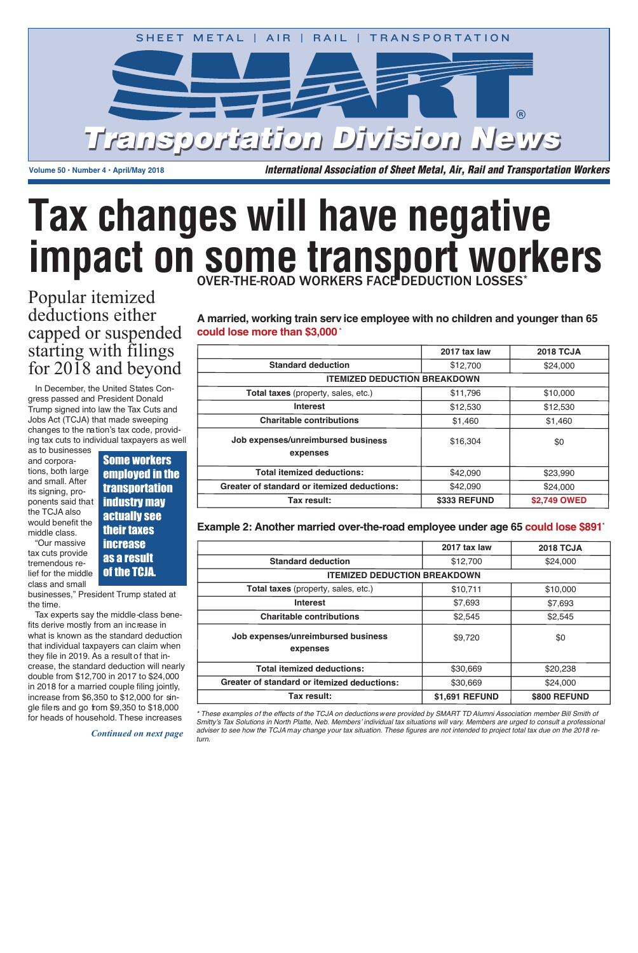class and small lief for the middle tremendous retax cuts provide " O u r m a s s i v e

> *t u r n .* adviser to see how the TCJA may change your tax situation. These figures are not intended to project total tax due on the 2018 re-Smitty's Tax Solutions in North Platte, Neb. Members' individual tax situations will vary. Members are urged to consult a professional \* These examples of the effects of the TCJA on deductions were provided by SMART TD Alumni Association member Bill Smith of



Volume 50 • Number 4 • April/May 2018 **I**nternational Association of Sheet Metal, Air, Rail and Transportation Workers

# **Tax changes will have negative impact on some transport workers** OVER-THE-ROAD WORKERS FACE DEDUCTION LOSSES\*

|                                                    | 2017 tax law | <b>2018 TCJA</b> |  |
|----------------------------------------------------|--------------|------------------|--|
| <b>Standard deduction</b>                          | \$12,700     | \$24,000         |  |
| <b>ITEMIZED DEDUCTION BREAKDOWN</b>                |              |                  |  |
| Total taxes (property, sales, etc.)                | \$11,796     | \$10,000         |  |
| <b>Interest</b>                                    | \$12,530     | \$12,530         |  |
| <b>Charitable contributions</b>                    | \$1,460      | \$1,460          |  |
| Job expenses/unreimbursed business                 | \$16,304     | \$0              |  |
| expenses                                           |              |                  |  |
| <b>Total itemized deductions:</b>                  | \$42,090     | \$23,990         |  |
| <b>Greater of standard or itemized deductions:</b> | \$42,090     | \$24,000         |  |
| Tax result:                                        | \$333 REFUND | \$2,749 OWED     |  |

### Example 2: Another married over-the-road employee under age 65 could lose \$891<sup>\*</sup>

*Continued on next page*

## Popular itemized deductions either capped or suspended starting with filings for 2018 and beyond

Jobs Act (TCJA) that made sweeping ing tax cuts to individual taxpayers as well Trump signed into law the Tax Cuts and changes to the nation's tax code, providgress passed and President Donald In December, the United States Con-

middle class. would benefit the the TCJA also ponents said that its signing, proand small. After tions, both large a n d c o r p o r a as to businesses

|                                                    | 2017 tax law   | <b>2018 TCJA</b>    |  |
|----------------------------------------------------|----------------|---------------------|--|
| <b>Standard deduction</b>                          | \$12,700       | \$24,000            |  |
| <b>ITEMIZED DEDUCTION BREAKDOWN</b>                |                |                     |  |
| Total taxes (property, sales, etc.)                | \$10,711       | \$10,000            |  |
| <b>Interest</b>                                    | \$7,693        | \$7,693             |  |
| <b>Charitable contributions</b>                    | \$2,545        | \$2,545             |  |
| Job expenses/unreimbursed business<br>expenses     | \$9,720        | \$0                 |  |
| <b>Total itemized deductions:</b>                  | \$30,669       | \$20,238            |  |
| <b>Greater of standard or itemized deductions:</b> | \$30,669       | \$24,000            |  |
| Tax result:                                        | \$1,691 REFUND | <b>\$800 REFUND</b> |  |

gle file*r*s and go from \$9,350 to \$18,000 for heads of household. These increases

Some workers employed in the transportation industry may actually see their taxes increase as a result of the TCJA.

businesses," President Trump stated at the time.

fits derive mostly from an increase in they file in 2019. As a result of that increase, the standard deduction will nearly double from \$12,700 in 2017 to \$24,000 increase from \$6,350 to \$12,000 for sinwhat is known as the standard deduction that individual taxpayers can claim when in 2018 for a married couple filing jointly, Tax experts say the middle*-*class beneA married, working train serv ice employee with no children and younger than 65 could lose more than \$3,000  $^{\circ}$